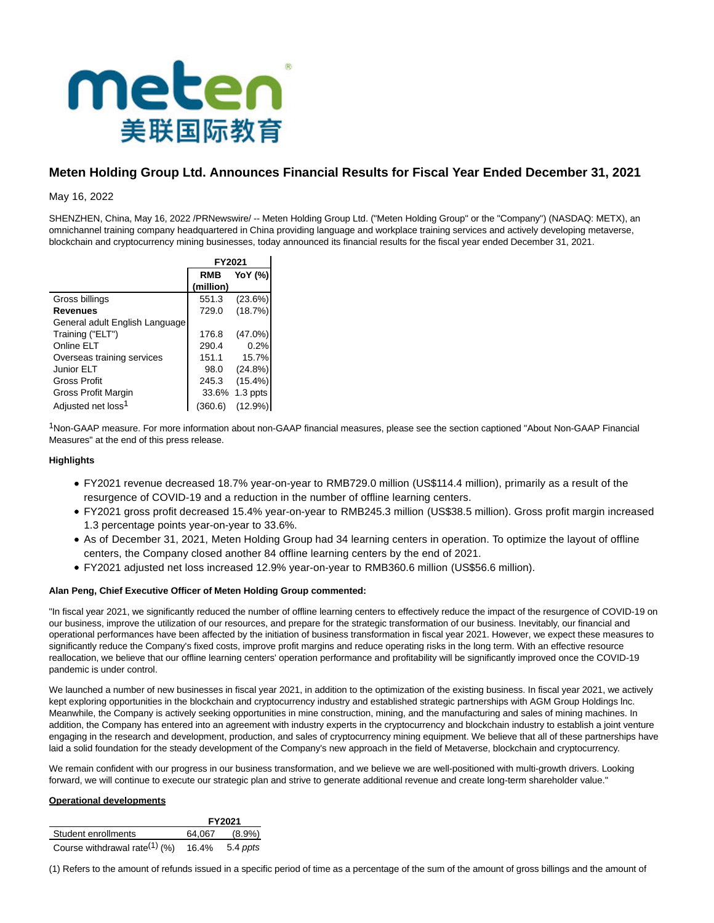

# **Meten Holding Group Ltd. Announces Financial Results for Fiscal Year Ended December 31, 2021**

May 16, 2022

SHENZHEN, China, May 16, 2022 /PRNewswire/ -- Meten Holding Group Ltd. ("Meten Holding Group" or the "Company") (NASDAQ: METX), an omnichannel training company headquartered in China providing language and workplace training services and actively developing metaverse, blockchain and cryptocurrency mining businesses, today announced its financial results for the fiscal year ended December 31, 2021.

|                                | FY2021     |            |  |  |
|--------------------------------|------------|------------|--|--|
|                                | <b>RMB</b> | YoY (%)    |  |  |
|                                | (million)  |            |  |  |
| Gross billings                 | 551.3      | (23.6%)    |  |  |
| <b>Revenues</b>                | 729.0      | (18.7%)    |  |  |
| General adult English Language |            |            |  |  |
| Training ("ELT")               | 176.8      | $(47.0\%)$ |  |  |
| Online ELT                     | 290.4      | 0.2%       |  |  |
| Overseas training services     | 151.1      | 15.7%      |  |  |
| Junior ELT                     | 98.0       | (24.8%)    |  |  |
| <b>Gross Profit</b>            | 245.3      | $(15.4\%)$ |  |  |
| Gross Profit Margin            | 33.6%      | 1.3 ppts   |  |  |
| Adjusted net loss <sup>1</sup> | (360.6)    | (12.9%)    |  |  |

1Non-GAAP measure. For more information about non-GAAP financial measures, please see the section captioned "About Non-GAAP Financial Measures" at the end of this press release.

## **Highlights**

- FY2021 revenue decreased 18.7% year-on-year to RMB729.0 million (US\$114.4 million), primarily as a result of the resurgence of COVID-19 and a reduction in the number of offline learning centers.
- FY2021 gross profit decreased 15.4% year-on-year to RMB245.3 million (US\$38.5 million). Gross profit margin increased 1.3 percentage points year-on-year to 33.6%.
- As of December 31, 2021, Meten Holding Group had 34 learning centers in operation. To optimize the layout of offline centers, the Company closed another 84 offline learning centers by the end of 2021.
- FY2021 adjusted net loss increased 12.9% year-on-year to RMB360.6 million (US\$56.6 million).

## **Alan Peng, Chief Executive Officer of Meten Holding Group commented:**

"In fiscal year 2021, we significantly reduced the number of offline learning centers to effectively reduce the impact of the resurgence of COVID-19 on our business, improve the utilization of our resources, and prepare for the strategic transformation of our business. Inevitably, our financial and operational performances have been affected by the initiation of business transformation in fiscal year 2021. However, we expect these measures to significantly reduce the Company's fixed costs, improve profit margins and reduce operating risks in the long term. With an effective resource reallocation, we believe that our offline learning centers' operation performance and profitability will be significantly improved once the COVID-19 pandemic is under control.

We launched a number of new businesses in fiscal year 2021, in addition to the optimization of the existing business. In fiscal year 2021, we actively kept exploring opportunities in the blockchain and cryptocurrency industry and established strategic partnerships with AGM Group Holdings lnc. Meanwhile, the Company is actively seeking opportunities in mine construction, mining, and the manufacturing and sales of mining machines. In addition, the Company has entered into an agreement with industry experts in the cryptocurrency and blockchain industry to establish a joint venture engaging in the research and development, production, and sales of cryptocurrency mining equipment. We believe that all of these partnerships have laid a solid foundation for the steady development of the Company's new approach in the field of Metaverse, blockchain and cryptocurrency.

We remain confident with our progress in our business transformation, and we believe we are well-positioned with multi-growth drivers. Looking forward, we will continue to execute our strategic plan and strive to generate additional revenue and create long-term shareholder value."

# **Operational developments**

|                                           | FY2021 |           |
|-------------------------------------------|--------|-----------|
| Student enrollments                       | 64.067 | $(8.9\%)$ |
| Course withdrawal rate <sup>(1)</sup> (%) | 16.4%  | 5.4 ppts  |

(1) Refers to the amount of refunds issued in a specific period of time as a percentage of the sum of the amount of gross billings and the amount of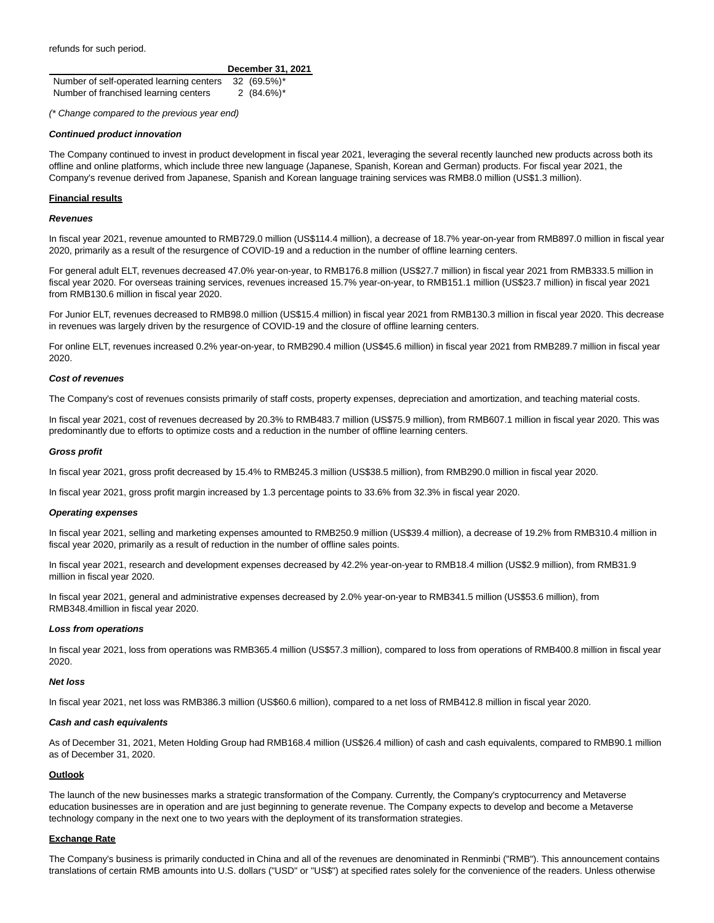refunds for such period.

|                                          | December 31, 2021 |
|------------------------------------------|-------------------|
| Number of self-operated learning centers | 32 (69.5%)*       |
| Number of franchised learning centers    | 2 $(84.6\%)^*$    |

(\* Change compared to the previous year end)

#### **Continued product innovation**

The Company continued to invest in product development in fiscal year 2021, leveraging the several recently launched new products across both its offline and online platforms, which include three new language (Japanese, Spanish, Korean and German) products. For fiscal year 2021, the Company's revenue derived from Japanese, Spanish and Korean language training services was RMB8.0 million (US\$1.3 million).

#### **Financial results**

#### **Revenues**

In fiscal year 2021, revenue amounted to RMB729.0 million (US\$114.4 million), a decrease of 18.7% year-on-year from RMB897.0 million in fiscal year 2020, primarily as a result of the resurgence of COVID-19 and a reduction in the number of offline learning centers.

For general adult ELT, revenues decreased 47.0% year-on-year, to RMB176.8 million (US\$27.7 million) in fiscal year 2021 from RMB333.5 million in fiscal year 2020. For overseas training services, revenues increased 15.7% year-on-year, to RMB151.1 million (US\$23.7 million) in fiscal year 2021 from RMB130.6 million in fiscal year 2020.

For Junior ELT, revenues decreased to RMB98.0 million (US\$15.4 million) in fiscal year 2021 from RMB130.3 million in fiscal year 2020. This decrease in revenues was largely driven by the resurgence of COVID-19 and the closure of offline learning centers.

For online ELT, revenues increased 0.2% year-on-year, to RMB290.4 million (US\$45.6 million) in fiscal year 2021 from RMB289.7 million in fiscal year 2020.

#### **Cost of revenues**

The Company's cost of revenues consists primarily of staff costs, property expenses, depreciation and amortization, and teaching material costs.

In fiscal year 2021, cost of revenues decreased by 20.3% to RMB483.7 million (US\$75.9 million), from RMB607.1 million in fiscal year 2020. This was predominantly due to efforts to optimize costs and a reduction in the number of offline learning centers.

#### **Gross profit**

In fiscal year 2021, gross profit decreased by 15.4% to RMB245.3 million (US\$38.5 million), from RMB290.0 million in fiscal year 2020.

In fiscal year 2021, gross profit margin increased by 1.3 percentage points to 33.6% from 32.3% in fiscal year 2020.

#### **Operating expenses**

In fiscal year 2021, selling and marketing expenses amounted to RMB250.9 million (US\$39.4 million), a decrease of 19.2% from RMB310.4 million in fiscal year 2020, primarily as a result of reduction in the number of offline sales points.

In fiscal year 2021, research and development expenses decreased by 42.2% year-on-year to RMB18.4 million (US\$2.9 million), from RMB31.9 million in fiscal year 2020.

In fiscal year 2021, general and administrative expenses decreased by 2.0% year-on-year to RMB341.5 million (US\$53.6 million), from RMB348.4million in fiscal year 2020.

#### **Loss from operations**

In fiscal year 2021, loss from operations was RMB365.4 million (US\$57.3 million), compared to loss from operations of RMB400.8 million in fiscal year 2020.

#### **Net loss**

In fiscal year 2021, net loss was RMB386.3 million (US\$60.6 million), compared to a net loss of RMB412.8 million in fiscal year 2020.

#### **Cash and cash equivalents**

As of December 31, 2021, Meten Holding Group had RMB168.4 million (US\$26.4 million) of cash and cash equivalents, compared to RMB90.1 million as of December 31, 2020.

## **Outlook**

The launch of the new businesses marks a strategic transformation of the Company. Currently, the Company's cryptocurrency and Metaverse education businesses are in operation and are just beginning to generate revenue. The Company expects to develop and become a Metaverse technology company in the next one to two years with the deployment of its transformation strategies.

## **Exchange Rate**

The Company's business is primarily conducted in China and all of the revenues are denominated in Renminbi ("RMB"). This announcement contains translations of certain RMB amounts into U.S. dollars ("USD" or "US\$") at specified rates solely for the convenience of the readers. Unless otherwise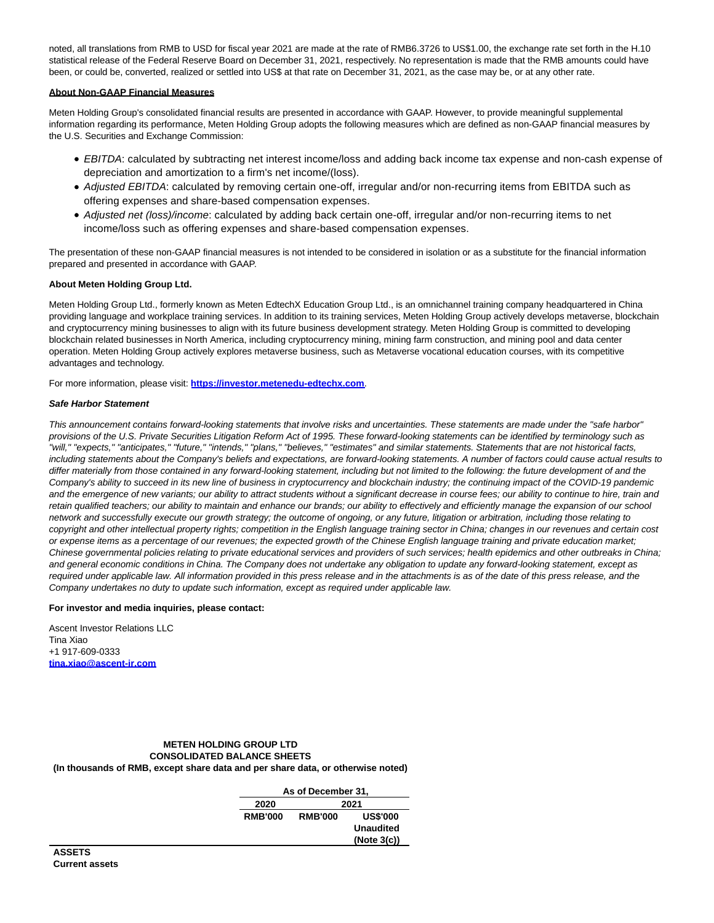noted, all translations from RMB to USD for fiscal year 2021 are made at the rate of RMB6.3726 to US\$1.00, the exchange rate set forth in the H.10 statistical release of the Federal Reserve Board on December 31, 2021, respectively. No representation is made that the RMB amounts could have been, or could be, converted, realized or settled into US\$ at that rate on December 31, 2021, as the case may be, or at any other rate.

# **About Non-GAAP Financial Measures**

Meten Holding Group's consolidated financial results are presented in accordance with GAAP. However, to provide meaningful supplemental information regarding its performance, Meten Holding Group adopts the following measures which are defined as non-GAAP financial measures by the U.S. Securities and Exchange Commission:

- EBITDA: calculated by subtracting net interest income/loss and adding back income tax expense and non-cash expense of depreciation and amortization to a firm's net income/(loss).
- Adjusted EBITDA: calculated by removing certain one-off, irregular and/or non-recurring items from EBITDA such as offering expenses and share-based compensation expenses.
- Adjusted net (loss)/income: calculated by adding back certain one-off, irregular and/or non-recurring items to net income/loss such as offering expenses and share-based compensation expenses.

The presentation of these non-GAAP financial measures is not intended to be considered in isolation or as a substitute for the financial information prepared and presented in accordance with GAAP.

## **About Meten Holding Group Ltd.**

Meten Holding Group Ltd., formerly known as Meten EdtechX Education Group Ltd., is an omnichannel training company headquartered in China providing language and workplace training services. In addition to its training services, Meten Holding Group actively develops metaverse, blockchain and cryptocurrency mining businesses to align with its future business development strategy. Meten Holding Group is committed to developing blockchain related businesses in North America, including cryptocurrency mining, mining farm construction, and mining pool and data center operation. Meten Holding Group actively explores metaverse business, such as Metaverse vocational education courses, with its competitive advantages and technology.

For more information, please visit: **[https://investor.metenedu-edtechx.com](https://www.globenewswire.com/Tracker?data=ZI2B-AJrWQpCf9HjfBit1HmUlk2ESpW4EdkdW9lkE63u1bgYmV7OPtaIfegSHTYWhU0Y-mqr3DeS6U6o_Ujve5gpes5hEoKm0DtihhLD3e675NZ1ZWTyXD8TFi-9imoQ)**.

# **Safe Harbor Statement**

This announcement contains forward-looking statements that involve risks and uncertainties. These statements are made under the "safe harbor" provisions of the U.S. Private Securities Litigation Reform Act of 1995. These forward-looking statements can be identified by terminology such as "will," "expects," "anticipates," "future," "intends," "plans," "believes," "estimates" and similar statements. Statements that are not historical facts, including statements about the Company's beliefs and expectations, are forward-looking statements. A number of factors could cause actual results to differ materially from those contained in any forward-looking statement, including but not limited to the following: the future development of and the Company's ability to succeed in its new line of business in cryptocurrency and blockchain industry; the continuing impact of the COVID-19 pandemic and the emergence of new variants; our ability to attract students without a significant decrease in course fees; our ability to continue to hire, train and retain qualified teachers; our ability to maintain and enhance our brands; our ability to effectively and efficiently manage the expansion of our school network and successfully execute our growth strategy; the outcome of ongoing, or any future, litigation or arbitration, including those relating to copyright and other intellectual property rights; competition in the English language training sector in China; changes in our revenues and certain cost or expense items as a percentage of our revenues; the expected growth of the Chinese English language training and private education market; Chinese governmental policies relating to private educational services and providers of such services; health epidemics and other outbreaks in China; and general economic conditions in China. The Company does not undertake any obligation to update any forward-looking statement, except as required under applicable law. All information provided in this press release and in the attachments is as of the date of this press release, and the Company undertakes no duty to update such information, except as required under applicable law.

## **For investor and media inquiries, please contact:**

Ascent Investor Relations LLC Tina Xiao +1 917-609-0333 **[tina.xiao@ascent-ir.com](https://www.globenewswire.com/Tracker?data=JtGOc64ccNPAtcnorrvdPXR-yEqRHoZfDz14maSHXfpFtasxNwbykBEQYeCcu-cTpD9q0K70UibNw5L_mQVpmLbLPjY2rJAiy6MXjdUEnCc=)**

## **METEN HOLDING GROUP LTD CONSOLIDATED BALANCE SHEETS (In thousands of RMB, except share data and per share data, or otherwise noted)**

| As of December 31, |                |                  |  |  |
|--------------------|----------------|------------------|--|--|
| 2020<br>2021       |                |                  |  |  |
| <b>RMB'000</b>     | <b>RMB'000</b> | <b>US\$'000</b>  |  |  |
|                    |                | <b>Unaudited</b> |  |  |
|                    |                | (Note 3(c))      |  |  |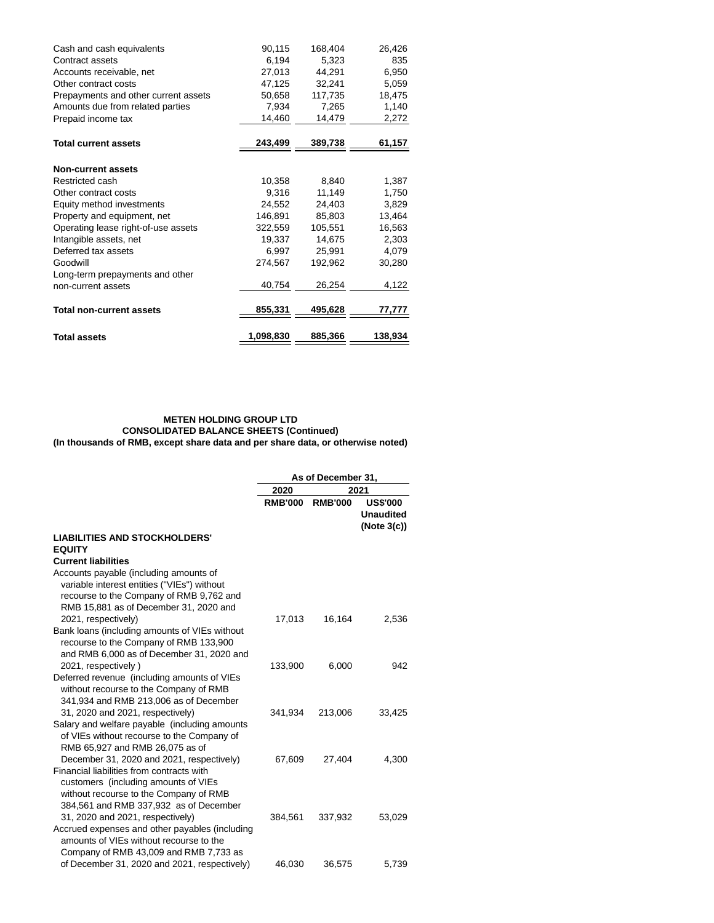| Cash and cash equivalents<br>Contract assets<br>Accounts receivable, net<br>Other contract costs<br>Prepayments and other current assets | 90,115<br>6,194<br>27,013<br>47,125<br>50,658 | 168,404<br>5,323<br>44,291<br>32,241<br>117,735 | 26,426<br>835<br>6,950<br>5,059<br>18,475 |
|------------------------------------------------------------------------------------------------------------------------------------------|-----------------------------------------------|-------------------------------------------------|-------------------------------------------|
| Amounts due from related parties                                                                                                         | 7,934                                         | 7,265                                           | 1,140                                     |
| Prepaid income tax                                                                                                                       | 14,460                                        | 14,479                                          | 2,272                                     |
| <b>Total current assets</b>                                                                                                              | 243,499                                       | 389,738                                         | 61,157                                    |
|                                                                                                                                          |                                               |                                                 |                                           |
| <b>Non-current assets</b>                                                                                                                |                                               |                                                 |                                           |
| Restricted cash                                                                                                                          | 10,358                                        | 8,840                                           | 1,387                                     |
| Other contract costs                                                                                                                     | 9,316                                         | 11,149                                          | 1,750                                     |
| Equity method investments                                                                                                                | 24.552                                        | 24.403                                          | 3.829                                     |
| Property and equipment, net                                                                                                              | 146,891                                       | 85,803                                          | 13,464                                    |
| Operating lease right-of-use assets                                                                                                      | 322,559                                       | 105,551                                         | 16,563                                    |
| Intangible assets, net                                                                                                                   | 19,337                                        | 14,675                                          | 2,303                                     |
| Deferred tax assets                                                                                                                      | 6,997                                         | 25.991                                          | 4,079                                     |
| Goodwill                                                                                                                                 | 274,567                                       | 192,962                                         | 30,280                                    |
| Long-term prepayments and other                                                                                                          |                                               |                                                 |                                           |
| non-current assets                                                                                                                       | 40,754                                        | 26,254                                          | 4,122                                     |
| <b>Total non-current assets</b>                                                                                                          | 855,331                                       | 495,628                                         | 77,777                                    |
| <b>Total assets</b>                                                                                                                      | 1,098,830                                     | 885,366                                         | 138,934                                   |

#### **METEN HOLDING GROUP LTD CONSOLIDATED BALANCE SHEETS (Continued) (In thousands of RMB, except share data and per share data, or otherwise noted)**

**As of December 31, 2020 2021 RMB'000 RMB'000 US\$'000 Unaudited (Note 3(c)) LIABILITIES AND STOCKHOLDERS' EQUITY Current liabilities** Accounts payable (including amounts of variable interest entities ("VIEs") without recourse to the Company of RMB 9,762 and RMB 15,881 as of December 31, 2020 and 2021, respectively) 17,013 16,164 2,536 Bank loans (including amounts of VIEs without recourse to the Company of RMB 133,900 and RMB 6,000 as of December 31, 2020 and 2021, respectively ) 133,900 6,000 942 Deferred revenue (including amounts of VIEs without recourse to the Company of RMB 341,934 and RMB 213,006 as of December 31, 2020 and 2021, respectively) 341,934 213,006 33,425 Salary and welfare payable (including amounts of VIEs without recourse to the Company of RMB 65,927 and RMB 26,075 as of December 31, 2020 and 2021, respectively) 67,609 27,404 4,300 Financial liabilities from contracts with customers (including amounts of VIEs without recourse to the Company of RMB 384,561 and RMB 337,932 as of December 31, 2020 and 2021, respectively) 384,561 337,932 53,029 Accrued expenses and other payables (including amounts of VIEs without recourse to the Company of RMB 43,009 and RMB 7,733 as of December 31, 2020 and 2021, respectively) 46,030 36,575 5,739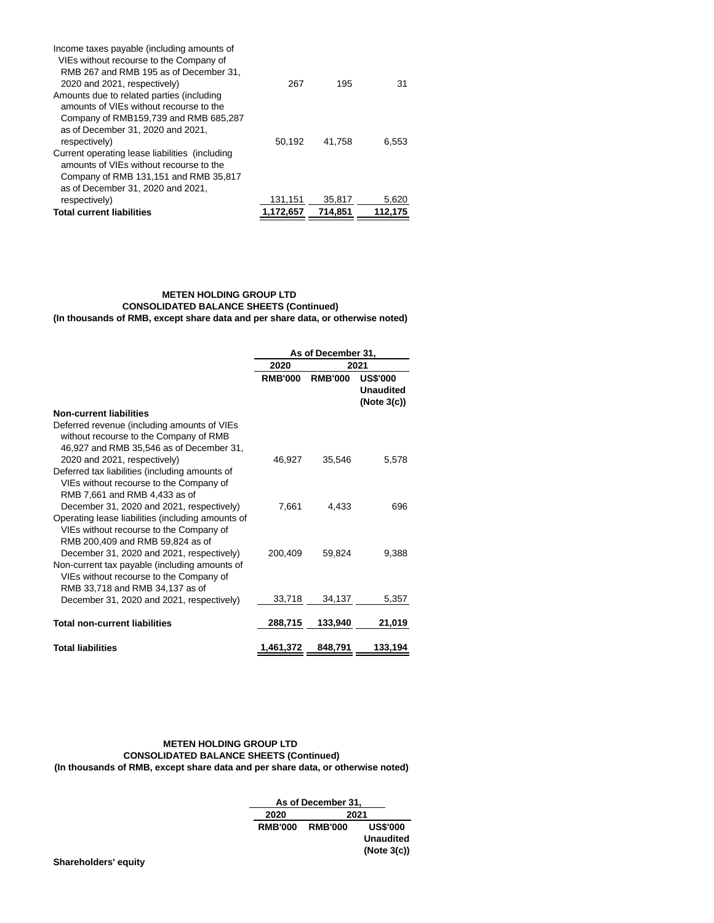| Income taxes payable (including amounts of     |           |         |         |
|------------------------------------------------|-----------|---------|---------|
| VIEs without recourse to the Company of        |           |         |         |
| RMB 267 and RMB 195 as of December 31,         |           |         |         |
| 2020 and 2021, respectively)                   | 267       | 195     | 31      |
| Amounts due to related parties (including      |           |         |         |
| amounts of VIEs without recourse to the        |           |         |         |
| Company of RMB159,739 and RMB 685,287          |           |         |         |
| as of December 31, 2020 and 2021,              |           |         |         |
| respectively)                                  | 50,192    | 41.758  | 6.553   |
| Current operating lease liabilities (including |           |         |         |
| amounts of VIEs without recourse to the        |           |         |         |
| Company of RMB 131,151 and RMB 35,817          |           |         |         |
| as of December 31, 2020 and 2021,              |           |         |         |
| respectively)                                  | 131,151   | 35.817  | 5,620   |
| <b>Total current liabilities</b>               | 1.172.657 | 714.851 | 112,175 |

# **METEN HOLDING GROUP LTD CONSOLIDATED BALANCE SHEETS (Continued) (In thousands of RMB, except share data and per share data, or otherwise noted)**

|                                                                                                                                   | As of December 31, |                |                                                    |  |
|-----------------------------------------------------------------------------------------------------------------------------------|--------------------|----------------|----------------------------------------------------|--|
|                                                                                                                                   | 2020<br>2021       |                |                                                    |  |
|                                                                                                                                   | <b>RMB'000</b>     | <b>RMB'000</b> | <b>US\$'000</b><br><b>Unaudited</b><br>(Note 3(c)) |  |
| <b>Non-current liabilities</b>                                                                                                    |                    |                |                                                    |  |
| Deferred revenue (including amounts of VIEs<br>without recourse to the Company of RMB<br>46,927 and RMB 35,546 as of December 31, |                    |                |                                                    |  |
| 2020 and 2021, respectively)                                                                                                      | 46,927             | 35,546         | 5,578                                              |  |
| Deferred tax liabilities (including amounts of<br>VIEs without recourse to the Company of<br>RMB 7,661 and RMB 4,433 as of        |                    |                |                                                    |  |
| December 31, 2020 and 2021, respectively)                                                                                         | 7,661              | 4.433          | 696                                                |  |
| Operating lease liabilities (including amounts of<br>VIEs without recourse to the Company of<br>RMB 200,409 and RMB 59,824 as of  |                    |                |                                                    |  |
| December 31, 2020 and 2021, respectively)                                                                                         | 200.409            | 59.824         | 9.388                                              |  |
| Non-current tax payable (including amounts of<br>VIEs without recourse to the Company of<br>RMB 33,718 and RMB 34,137 as of       |                    |                |                                                    |  |
| December 31, 2020 and 2021, respectively)                                                                                         | 33,718             | 34,137         | 5,357                                              |  |
| <b>Total non-current liabilities</b>                                                                                              | 288,715            | 133,940        | 21,019                                             |  |
| <b>Total liabilities</b>                                                                                                          | 1,461,372          | 848,791        | 133,194                                            |  |

# **METEN HOLDING GROUP LTD CONSOLIDATED BALANCE SHEETS (Continued) (In thousands of RMB, except share data and per share data, or otherwise noted)**

**As of December 31, 2020 2021 RMB'000 RMB'000 US\$'000 Unaudited (Note 3(c))**

**Shareholders' equity**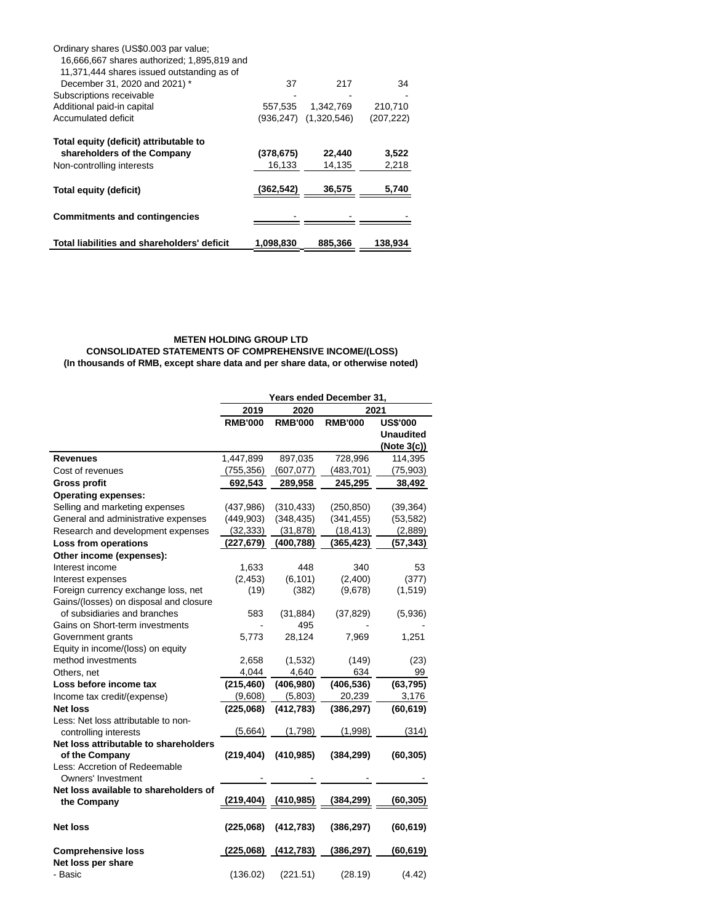| Ordinary shares (US\$0.003 par value;       |            |             |            |
|---------------------------------------------|------------|-------------|------------|
| 16,666,667 shares authorized: 1,895,819 and |            |             |            |
| 11,371,444 shares issued outstanding as of  |            |             |            |
| December 31, 2020 and 2021) *               | 37         | 217         | 34         |
| Subscriptions receivable                    |            |             |            |
| Additional paid-in capital                  | 557.535    | 1.342.769   | 210,710    |
| Accumulated deficit                         | (936,247)  | (1,320,546) | (207, 222) |
| Total equity (deficit) attributable to      |            |             |            |
| shareholders of the Company                 | (378, 675) | 22,440      | 3,522      |
| Non-controlling interests                   | 16,133     | 14,135      | 2,218      |
| Total equity (deficit)                      | (362,542)  | 36,575      | 5,740      |
|                                             |            |             |            |
| <b>Commitments and contingencies</b>        |            |             |            |
|                                             |            |             |            |
| Total liabilities and shareholders' deficit | 1,098,830  | 885,366     | 138,934    |

# **METEN HOLDING GROUP LTD**

**CONSOLIDATED STATEMENTS OF COMPREHENSIVE INCOME/(LOSS) (In thousands of RMB, except share data and per share data, or otherwise noted)**

|                                                 | Years ended December 31, |                |                |                  |
|-------------------------------------------------|--------------------------|----------------|----------------|------------------|
|                                                 | 2020<br>2021<br>2019     |                |                |                  |
|                                                 | <b>RMB'000</b>           | <b>RMB'000</b> | <b>RMB'000</b> | <b>US\$'000</b>  |
|                                                 |                          |                |                | <b>Unaudited</b> |
|                                                 |                          |                |                | (Note 3(c))      |
| <b>Revenues</b>                                 | 1,447,899                | 897,035        | 728,996        | 114,395          |
| Cost of revenues                                | (755, 356)               | (607, 077)     | (483,701)      | (75, 903)        |
| <b>Gross profit</b>                             | 692,543                  | 289,958        | 245,295        | 38,492           |
| <b>Operating expenses:</b>                      |                          |                |                |                  |
| Selling and marketing expenses                  | (437,986)                | (310, 433)     | (250, 850)     | (39, 364)        |
| General and administrative expenses             | (449, 903)               | (348, 435)     | (341, 455)     | (53, 582)        |
| Research and development expenses               | (32, 333)                | (31, 878)      | (18, 413)      | (2,889)          |
| Loss from operations                            | (227,679)                | (400,788)      | (365, 423)     | (57,343)         |
| Other income (expenses):                        |                          |                |                |                  |
| Interest income                                 | 1,633                    | 448            | 340            | 53               |
| Interest expenses                               | (2, 453)                 | (6, 101)       | (2,400)        | (377)            |
| Foreign currency exchange loss, net             | (19)                     | (382)          | (9,678)        | (1,519)          |
| Gains/(losses) on disposal and closure          |                          |                |                |                  |
| of subsidiaries and branches                    | 583                      | (31, 884)      | (37, 829)      | (5,936)          |
| Gains on Short-term investments                 |                          | 495            |                |                  |
| Government grants                               | 5,773                    | 28,124         | 7,969          | 1,251            |
| Equity in income/(loss) on equity               |                          |                |                |                  |
| method investments                              | 2,658                    | (1,532)        | (149)          | (23)             |
| Others, net                                     | 4,044                    | 4,640          | 634            | 99               |
| Loss before income tax                          | (215, 460)               | (406, 980)     | (406, 536)     | (63, 795)        |
| Income tax credit/(expense)                     | (9,608)                  | (5,803)        | 20,239         | 3,176            |
| <b>Net loss</b>                                 | (225,068)                | (412, 783)     | (386, 297)     | (60, 619)        |
| Less: Net loss attributable to non-             |                          |                |                |                  |
| controlling interests                           | (5,664)                  | (1,798)        | (1,998)        | (314)            |
| Net loss attributable to shareholders           |                          |                |                |                  |
| of the Company                                  | (219, 404)               | (410, 985)     | (384, 299)     | (60, 305)        |
| Less: Accretion of Redeemable                   |                          |                |                |                  |
| Owners' Investment                              |                          |                |                |                  |
| Net loss available to shareholders of           |                          |                |                |                  |
| the Company                                     | (219, 404)               | (410, 985)     | (384, 299)     | (60, 305)        |
| <b>Net loss</b>                                 | (225,068)                | (412, 783)     | (386, 297)     | (60, 619)        |
|                                                 | (225,068)                | (412, 783)     | (386, 297)     | (60, 619)        |
| <b>Comprehensive loss</b><br>Net loss per share |                          |                |                |                  |
| - Basic                                         | (136.02)                 | (221.51)       | (28.19)        | (4.42)           |